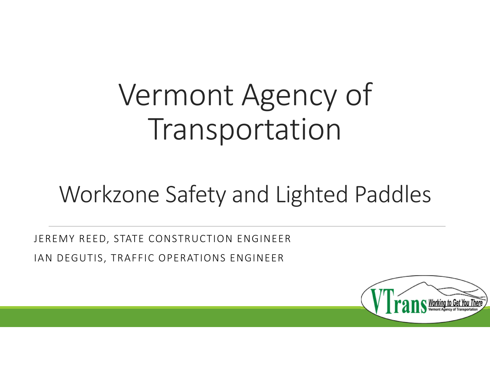# Vermont Agency of Transportation

# Workzone Safety and Lighted Paddles

JEREMY REED, STATE CONSTRUCTION ENGINEER IAN DEGUTIS, TRAFFIC OPERATIONS ENGINEER

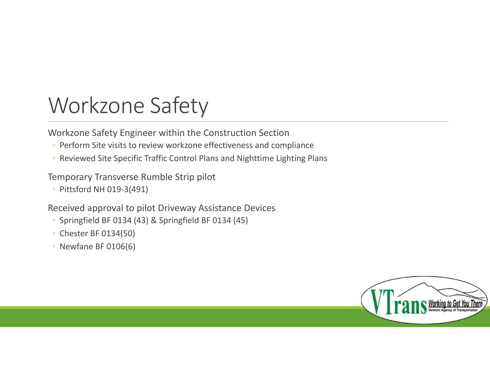### Workzone Safety

Workzone Safety Engineer within the Construction Section

- Perform Site visits to review workzone effectiveness and compliance
- Reviewed Site Specific Traffic Control Plans and Nighttime Lighting Plans

#### Temporary Transverse Rumble Strip pilot

◦ Pittsford NH 019‐3(491)

#### Received approval to pilot Driveway Assistance Devices

- Springfield BF 0134 (43) & Springfield BF 0134 (45)
- Chester BF 0134(50)
- Newfane BF 0106(6)

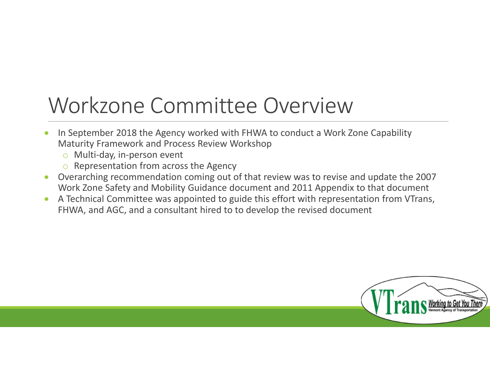### Workzone Committee Overview

- $\bullet$ • In September 2018 the Agency worked with FHWA to conduct a Work Zone Capability Maturity Framework and Process Review Workshop
	- o Multi‐day, in‐person event
	- $\circ$  Representation from across the Agency
- Overarching recommendation coming out of that review was to revise and update the 2007 Work Zone Safety and Mobility Guidance document and 2011 Appendix to that document
- $\bullet$  A Technical Committee was appointed to guide this effort with representation from VTrans, FHWA, and AGC, and <sup>a</sup> consultant hired to to develop the revised document

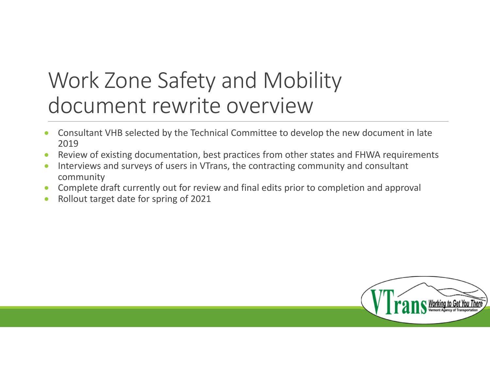### Work Zone Safety and Mobility document rewrite overview

- $\bullet$  Consultant VHB selected by the Technical Committee to develop the new document in late 2019
- $\bullet$ Review of existing documentation, best practices from other states and FHWA requirements
- $\bullet$ • Interviews and surveys of users in VTrans, the contracting community and consultant community
- $\bullet$ Complete draft currently out for review and final edits prior to completion and approval
- $\bullet$ Rollout target date for spring of 2021

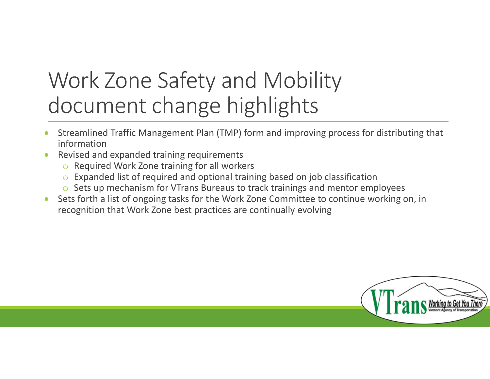### Work Zone Safety and Mobility document change highlights

- $\bullet$  Streamlined Traffic Management Plan (TMP) form and improving process for distributing that information
- $\bullet$ • Revised and expanded training requirements
	- o Required Work Zone training for all workers
	- $\circ$  Expanded list of required and optional training based on job classification
	- $\circ$  Sets up mechanism for VTrans Bureaus to track trainings and mentor employees
- $\bullet$ • Sets forth a list of ongoing tasks for the Work Zone Committee to continue working on, in recognition that Work Zone best practices are continually evolving

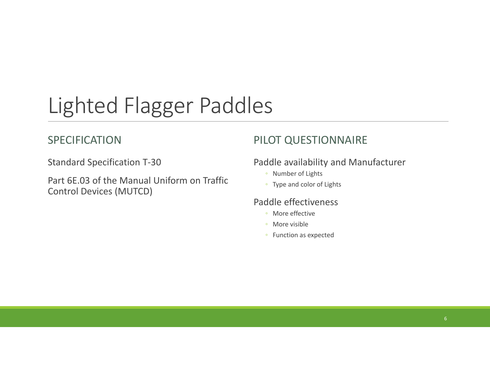# Lighted Flagger Paddles

#### SPECIFICATION

Standard Specification T‐30

Part 6E.03 of the Manual Uniform on Traffic Control Devices (MUTCD)

#### PILOT QUESTIONNAIRE

#### Paddle availability and Manufacturer

- Number of Lights
- Type and color of Lights

#### Paddle effectiveness

- More effective
- More visible
- Function as expected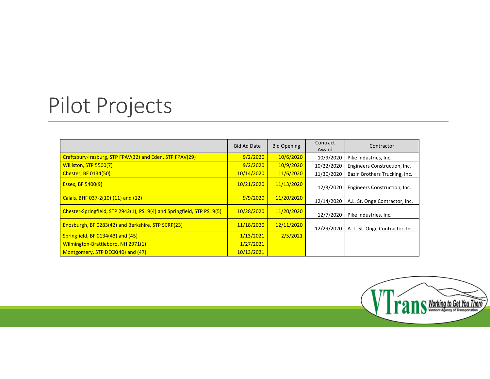### Pilot Projects

|                                                                        | <b>Bid Ad Date</b> | <b>Bid Opening</b> | Contract<br>Award | Contractor                      |
|------------------------------------------------------------------------|--------------------|--------------------|-------------------|---------------------------------|
| Craftsbury-Irasburg, STP FPAV(32) and Eden, STP FPAV(29)               | 9/2/2020           | 10/6/2020          | 10/9/2020         | Pike Industries, Inc.           |
| Williston, STP 5500(7)                                                 | 9/2/2020           | 10/9/2020          | 10/22/2020        | Engineers Construction, Inc.    |
| <b>Chester, BF 0134(50)</b>                                            | 10/14/2020         | 11/6/2020          | 11/30/2020        | Bazin Brothers Trucking, Inc.   |
| Essex, BF 5400(9)                                                      | 10/21/2020         | 11/13/2020         | 12/3/2020         | Engineers Construction, Inc.    |
| Calais, BHF 037-2(10) (11) and (12)                                    | 9/9/2020           | 11/20/2020         | 12/14/2020        | A.L. St. Onge Contractor, Inc.  |
| Chester-Springfield, STP 2942(1), PS19(4) and Springfield, STP PS19(5) | 10/28/2020         | 11/20/2020         | 12/7/2020         | Pike Industries, Inc.           |
| Enosburgh, BF 0283(42) and Berkshire, STP SCRP(23)                     | 11/18/2020         | 12/11/2020         | 12/29/2020        | A. L. St. Onge Contractor, Inc. |
| Springfield, BF 0134(43) and (45)                                      | 1/13/2021          | 2/5/2021           |                   |                                 |
| Wilmington-Brattleboro, NH 2971(1)                                     | 1/27/2021          |                    |                   |                                 |
| Montgomery, STP DECK(40) and (47)                                      | 10/13/2021         |                    |                   |                                 |